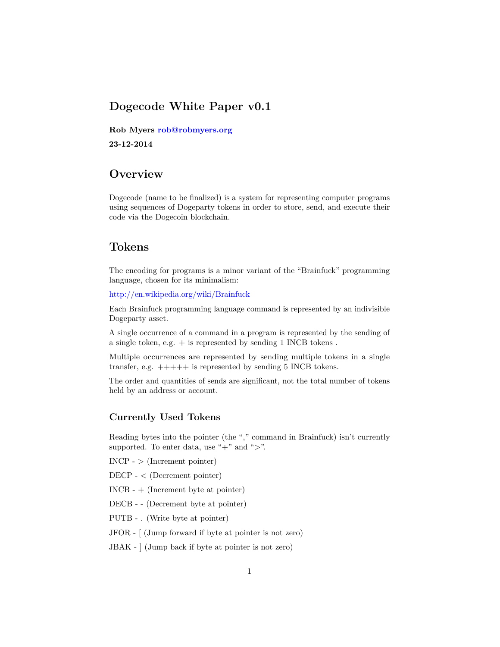## **Dogecode White Paper v0.1**

**Rob Myers [rob@robmyers.org](mailto:rob@robmyers.org)**

**23-12-2014**

# **Overview**

Dogecode (name to be finalized) is a system for representing computer programs using sequences of Dogeparty tokens in order to store, send, and execute their code via the Dogecoin blockchain.

# **Tokens**

The encoding for programs is a minor variant of the "Brainfuck" programming language, chosen for its minimalism:

<http://en.wikipedia.org/wiki/Brainfuck>

Each Brainfuck programming language command is represented by an indivisible Dogeparty asset.

A single occurrence of a command in a program is represented by the sending of a single token, e.g.  $+$  is represented by sending 1 INCB tokens.

Multiple occurrences are represented by sending multiple tokens in a single transfer, e.g. +++++ is represented by sending 5 INCB tokens.

The order and quantities of sends are significant, not the total number of tokens held by an address or account.

## **Currently Used Tokens**

Reading bytes into the pointer (the "," command in Brainfuck) isn't currently supported. To enter data, use " $+$ " and " $>$ ".

 $INCP - \geq (Increment\ pointer)$ 

DECP - < (Decrement pointer)

INCB - + (Increment byte at pointer)

DECB - - (Decrement byte at pointer)

PUTB - . (Write byte at pointer)

JFOR - [ (Jump forward if byte at pointer is not zero)

JBAK - ] (Jump back if byte at pointer is not zero)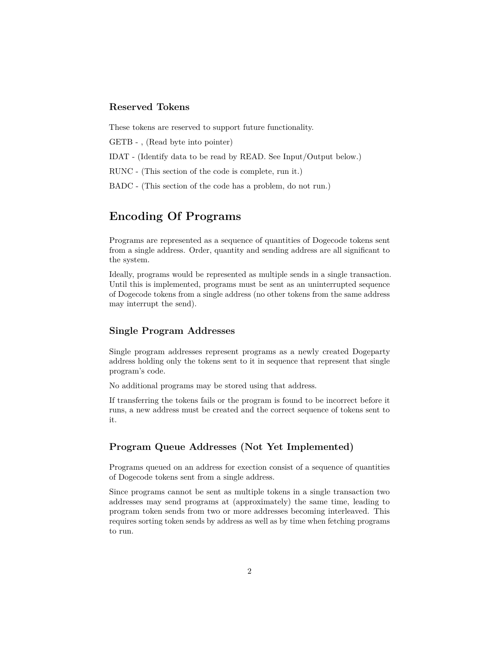### **Reserved Tokens**

These tokens are reserved to support future functionality.

GETB - , (Read byte into pointer)

IDAT - (Identify data to be read by READ. See Input/Output below.)

RUNC - (This section of the code is complete, run it.)

BADC - (This section of the code has a problem, do not run.)

# **Encoding Of Programs**

Programs are represented as a sequence of quantities of Dogecode tokens sent from a single address. Order, quantity and sending address are all significant to the system.

Ideally, programs would be represented as multiple sends in a single transaction. Until this is implemented, programs must be sent as an uninterrupted sequence of Dogecode tokens from a single address (no other tokens from the same address may interrupt the send).

### **Single Program Addresses**

Single program addresses represent programs as a newly created Dogeparty address holding only the tokens sent to it in sequence that represent that single program's code.

No additional programs may be stored using that address.

If transferring the tokens fails or the program is found to be incorrect before it runs, a new address must be created and the correct sequence of tokens sent to it.

### **Program Queue Addresses (Not Yet Implemented)**

Programs queued on an address for exection consist of a sequence of quantities of Dogecode tokens sent from a single address.

Since programs cannot be sent as multiple tokens in a single transaction two addresses may send programs at (approximately) the same time, leading to program token sends from two or more addresses becoming interleaved. This requires sorting token sends by address as well as by time when fetching programs to run.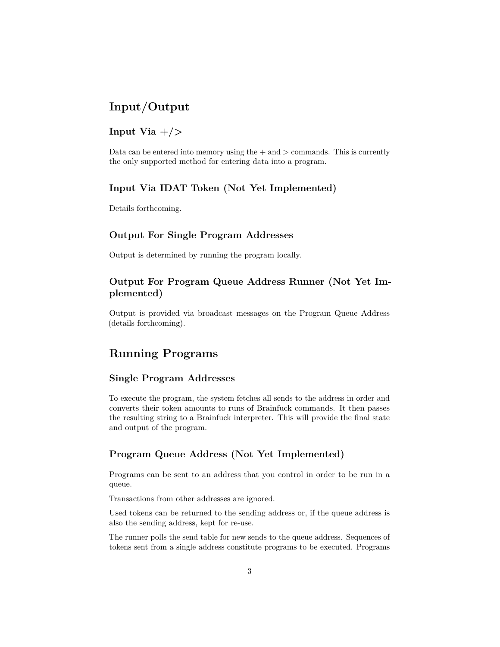# **Input/Output**

## **Input Via +/>**

Data can be entered into memory using the  $+$  and  $>$  commands. This is currently the only supported method for entering data into a program.

### **Input Via IDAT Token (Not Yet Implemented)**

Details forthcoming.

#### **Output For Single Program Addresses**

Output is determined by running the program locally.

## **Output For Program Queue Address Runner (Not Yet Implemented)**

Output is provided via broadcast messages on the Program Queue Address (details forthcoming).

## **Running Programs**

#### **Single Program Addresses**

To execute the program, the system fetches all sends to the address in order and converts their token amounts to runs of Brainfuck commands. It then passes the resulting string to a Brainfuck interpreter. This will provide the final state and output of the program.

#### **Program Queue Address (Not Yet Implemented)**

Programs can be sent to an address that you control in order to be run in a queue.

Transactions from other addresses are ignored.

Used tokens can be returned to the sending address or, if the queue address is also the sending address, kept for re-use.

The runner polls the send table for new sends to the queue address. Sequences of tokens sent from a single address constitute programs to be executed. Programs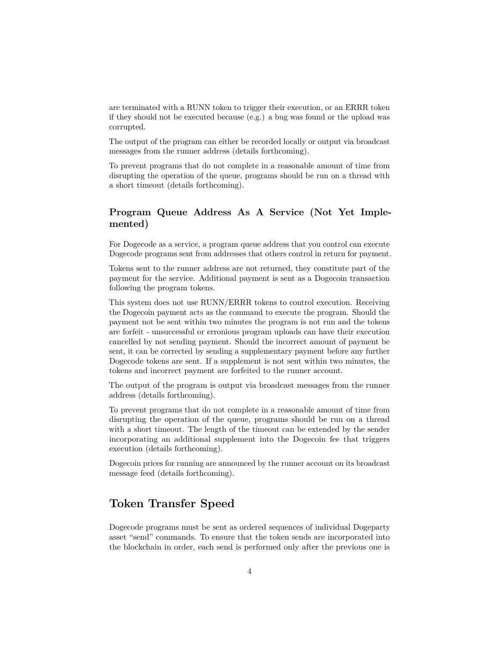are terminated with a RUNN token to trigger their execution, or an ERRR token if they should not be executed because (e.g.) a bug was found or the upload was corrupted.

The output of the program can either be recorded locally or output via broadcast messages from the runner address (details forthcoming).

To prevent programs that do not complete in a reasonable amount of time from disrupting the operation of the queue, programs should be run on a thread with a short timeout (details forthcoming).

## **Program Queue Address As A Service (Not Yet Implemented)**

For Dogecode as a service, a program queue address that you control can execute Dogecode programs sent from addresses that others control in return for payment.

Tokens sent to the runner address are not returned, they constitute part of the payment for the service. Additional payment is sent as a Dogecoin transaction following the program tokens.

This system does not use RUNN/ERRR tokens to control execution. Receiving the Dogecoin payment acts as the command to execute the program. Should the payment not be sent within two minutes the program is not run and the tokens are forfeit - unsuccessful or erronious program uploads can have their execution cancelled by not sending payment. Should the incorrect amount of payment be sent, it can be corrected by sending a supplementary payment before any further Dogecode tokens are sent. If a supplement is not sent within two minutes, the tokens and incorrect payment are forfeited to the runner account.

The output of the program is output via broadcast messages from the runner address (details forthcoming).

To prevent programs that do not complete in a reasonable amount of time from disrupting the operation of the queue, programs should be run on a thread with a short timeout. The length of the timeout can be extended by the sender incorporating an additional supplement into the Dogecoin fee that triggers execution (details forthcoming).

Dogecoin prices for running are announced by the runner account on its broadcast message feed (details forthcoming).

## **Token Transfer Speed**

Dogecode programs must be sent as ordered sequences of individual Dogeparty asset "send" commands. To ensure that the token sends are incorporated into the blockchain in order, each send is performed only after the previous one is